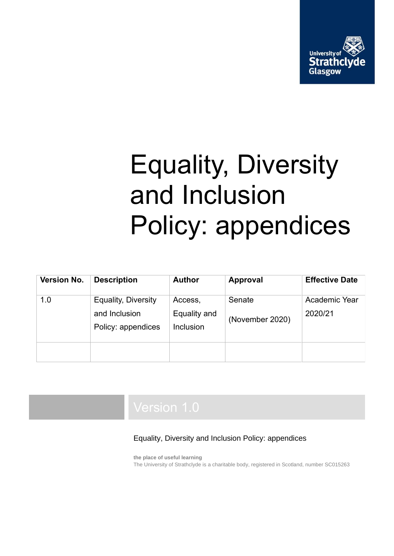

# Equality, Diversity and Inclusion Policy: appendices

| <b>Version No.</b> | <b>Description</b>                                                | <b>Author</b>                        | <b>Approval</b>           | <b>Effective Date</b>    |
|--------------------|-------------------------------------------------------------------|--------------------------------------|---------------------------|--------------------------|
| 1.0                | <b>Equality, Diversity</b><br>and Inclusion<br>Policy: appendices | Access,<br>Equality and<br>Inclusion | Senate<br>(November 2020) | Academic Year<br>2020/21 |
|                    |                                                                   |                                      |                           |                          |

#### Equality, Diversity and Inclusion Policy: appendices

**the place of useful learning** The University of Strathclyde is a charitable body, registered in Scotland, number SC015263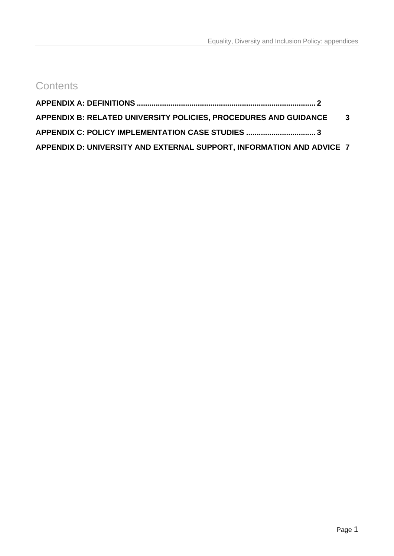## **Contents**

| APPENDIX B: RELATED UNIVERSITY POLICIES, PROCEDURES AND GUIDANCE 3    |  |
|-----------------------------------------------------------------------|--|
|                                                                       |  |
| APPENDIX D: UNIVERSITY AND EXTERNAL SUPPORT, INFORMATION AND ADVICE 7 |  |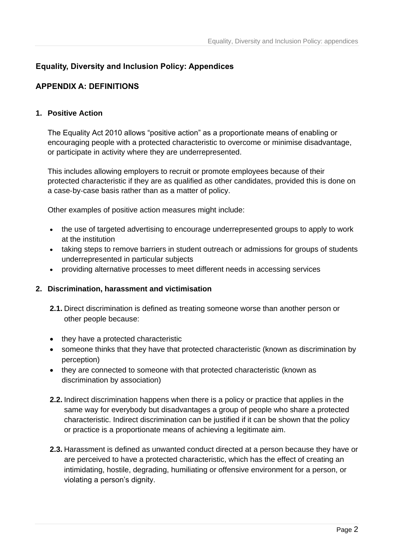### **Equality, Diversity and Inclusion Policy: Appendices**

#### <span id="page-2-0"></span>**APPENDIX A: DEFINITIONS**

#### **1. Positive Action**

The Equality Act 2010 allows "positive action" as a proportionate means of enabling or encouraging people with a protected characteristic to overcome or minimise disadvantage, or participate in activity where they are underrepresented.

This includes allowing employers to recruit or promote employees because of their protected characteristic if they are as qualified as other candidates, provided this is done on a case‐by‐case basis rather than as a matter of policy.

Other examples of positive action measures might include:

- the use of targeted advertising to encourage underrepresented groups to apply to work at the institution
- taking steps to remove barriers in student outreach or admissions for groups of students underrepresented in particular subjects
- providing alternative processes to meet different needs in accessing services

#### **2. Discrimination, harassment and victimisation**

- **2.1.** Direct discrimination is defined as treating someone worse than another person or other people because:
- they have a protected characteristic
- someone thinks that they have that protected characteristic (known as discrimination by perception)
- they are connected to someone with that protected characteristic (known as discrimination by association)
- **2.2.** Indirect discrimination happens when there is a policy or practice that applies in the same way for everybody but disadvantages a group of people who share a protected characteristic. Indirect discrimination can be justified if it can be shown that the policy or practice is a proportionate means of achieving a legitimate aim.
- **2.3.** Harassment is defined as unwanted conduct directed at a person because they have or are perceived to have a protected characteristic, which has the effect of creating an intimidating, hostile, degrading, humiliating or offensive environment for a person, or violating a person's dignity.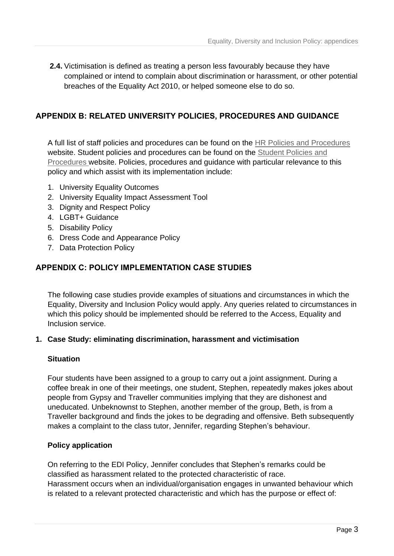**2.4.** Victimisation is defined as treating a person less favourably because they have complained or intend to complain about discrimination or harassment, or other potential breaches of the Equality Act 2010, or helped someone else to do so.

#### <span id="page-3-0"></span>**APPENDIX B: RELATED UNIVERSITY POLICIES, PROCEDURES AND GUIDANCE**

A full list of staff policies and procedures can be found on the [HR Policies and Procedures](https://www.strath.ac.uk/staff/policies/hr/) website. Student policies and procedures can be found on the [Student Policies and](https://www.strath.ac.uk/sees/studentpolicies/)  [Procedures w](https://www.strath.ac.uk/sees/studentpolicies/)ebsite. Policies, procedures and guidance with particular relevance to this policy and which assist with its implementation include:

- 1. University Equality Outcomes
- 2. University Equality Impact Assessment Tool
- 3. Dignity and Respect Policy
- 4. LGBT+ Guidance
- 5. Disability Policy
- 6. Dress Code and Appearance Policy
- 7. Data Protection Policy

#### <span id="page-3-1"></span>**APPENDIX C: POLICY IMPLEMENTATION CASE STUDIES**

The following case studies provide examples of situations and circumstances in which the Equality, Diversity and Inclusion Policy would apply. Any queries related to circumstances in which this policy should be implemented should be referred to the Access, Equality and Inclusion service.

#### **1. Case Study: eliminating discrimination, harassment and victimisation**

#### **Situation**

Four students have been assigned to a group to carry out a joint assignment. During a coffee break in one of their meetings, one student, Stephen, repeatedly makes jokes about people from Gypsy and Traveller communities implying that they are dishonest and uneducated. Unbeknownst to Stephen, another member of the group, Beth, is from a Traveller background and finds the jokes to be degrading and offensive. Beth subsequently makes a complaint to the class tutor, Jennifer, regarding Stephen's behaviour.

#### **Policy application**

On referring to the EDI Policy, Jennifer concludes that Stephen's remarks could be classified as harassment related to the protected characteristic of race. Harassment occurs when an individual/organisation engages in unwanted behaviour which is related to a relevant protected characteristic and which has the purpose or effect of: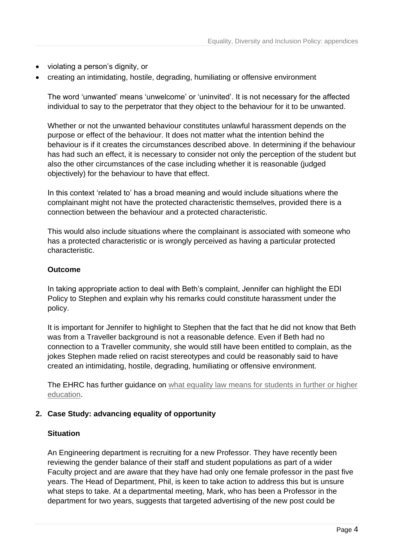- violating a person's dignity, or
- creating an intimidating, hostile, degrading, humiliating or offensive environment

The word 'unwanted' means 'unwelcome' or 'uninvited'. It is not necessary for the affected individual to say to the perpetrator that they object to the behaviour for it to be unwanted.

Whether or not the unwanted behaviour constitutes unlawful harassment depends on the purpose or effect of the behaviour. It does not matter what the intention behind the behaviour is if it creates the circumstances described above. In determining if the behaviour has had such an effect, it is necessary to consider not only the perception of the student but also the other circumstances of the case including whether it is reasonable (judged objectively) for the behaviour to have that effect.

In this context 'related to' has a broad meaning and would include situations where the complainant might not have the protected characteristic themselves, provided there is a connection between the behaviour and a protected characteristic.

This would also include situations where the complainant is associated with someone who has a protected characteristic or is wrongly perceived as having a particular protected characteristic.

#### **Outcome**

In taking appropriate action to deal with Beth's complaint, Jennifer can highlight the EDI Policy to Stephen and explain why his remarks could constitute harassment under the policy.

It is important for Jennifer to highlight to Stephen that the fact that he did not know that Beth was from a Traveller background is not a reasonable defence. Even if Beth had no connection to a Traveller community, she would still have been entitled to complain, as the jokes Stephen made relied on racist stereotypes and could be reasonably said to have created an intimidating, hostile, degrading, humiliating or offensive environment.

The EHRC has further guidance on what equality law means for students in further or higher [education.](https://www.equalityhumanrights.com/en/publication-download/what-equality-law-means-you-student-further-or-higher-education)

#### **2. Case Study: advancing equality of opportunity**

#### **Situation**

An Engineering department is recruiting for a new Professor. They have recently been reviewing the gender balance of their staff and student populations as part of a wider Faculty project and are aware that they have had only one female professor in the past five years. The Head of Department, Phil, is keen to take action to address this but is unsure what steps to take. At a departmental meeting, Mark, who has been a Professor in the department for two years, suggests that targeted advertising of the new post could be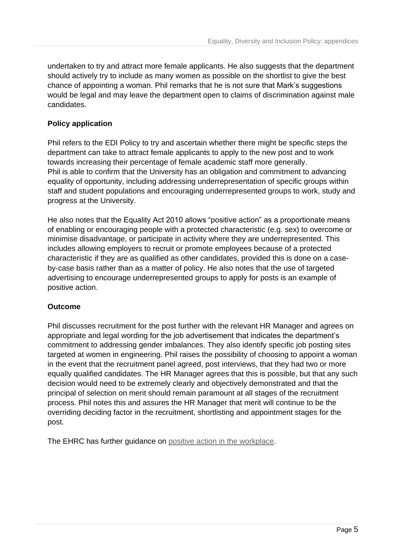undertaken to try and attract more female applicants. He also suggests that the department should actively try to include as many women as possible on the shortlist to give the best chance of appointing a woman. Phil remarks that he is not sure that Mark's suggestions would be legal and may leave the department open to claims of discrimination against male candidates.

#### **Policy application**

Phil refers to the EDI Policy to try and ascertain whether there might be specific steps the department can take to attract female applicants to apply to the new post and to work towards increasing their percentage of female academic staff more generally. Phil is able to confirm that the University has an obligation and commitment to advancing equality of opportunity, including addressing underrepresentation of specific groups within staff and student populations and encouraging underrepresented groups to work, study and progress at the University.

He also notes that the Equality Act 2010 allows "positive action" as a proportionate means of enabling or encouraging people with a protected characteristic (e.g. sex) to overcome or minimise disadvantage, or participate in activity where they are underrepresented. This includes allowing employers to recruit or promote employees because of a protected characteristic if they are as qualified as other candidates, provided this is done on a case‐ by‐case basis rather than as a matter of policy. He also notes that the use of targeted advertising to encourage underrepresented groups to apply for posts is an example of positive action.

#### **Outcome**

Phil discusses recruitment for the post further with the relevant HR Manager and agrees on appropriate and legal wording for the job advertisement that indicates the department's commitment to addressing gender imbalances. They also identify specific job posting sites targeted at women in engineering. Phil raises the possibility of choosing to appoint a woman in the event that the recruitment panel agreed, post interviews, that they had two or more equally qualified candidates. The HR Manager agrees that this is possible, but that any such decision would need to be extremely clearly and objectively demonstrated and that the principal of selection on merit should remain paramount at all stages of the recruitment process. Phil notes this and assures the HR Manager that merit will continue to be the overriding deciding factor in the recruitment, shortlisting and appointment stages for the post.

The EHRC has further guidance on [positive action in the workplace.](https://www.equalityhumanrights.com/en/advice-and-guidance/employers-what-positive-action-workplace)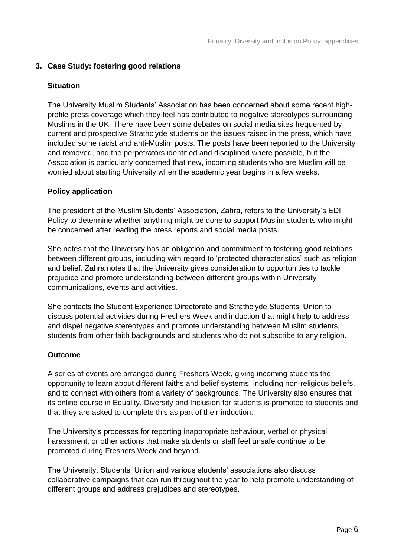#### **3. Case Study: fostering good relations**

#### **Situation**

The University Muslim Students' Association has been concerned about some recent highprofile press coverage which they feel has contributed to negative stereotypes surrounding Muslims in the UK. There have been some debates on social media sites frequented by current and prospective Strathclyde students on the issues raised in the press, which have included some racist and anti-Muslim posts. The posts have been reported to the University and removed, and the perpetrators identified and disciplined where possible, but the Association is particularly concerned that new, incoming students who are Muslim will be worried about starting University when the academic year begins in a few weeks.

#### **Policy application**

The president of the Muslim Students' Association, Zahra, refers to the University's EDI Policy to determine whether anything might be done to support Muslim students who might be concerned after reading the press reports and social media posts.

She notes that the University has an obligation and commitment to fostering good relations between different groups, including with regard to 'protected characteristics' such as religion and belief. Zahra notes that the University gives consideration to opportunities to tackle prejudice and promote understanding between different groups within University communications, events and activities.

She contacts the Student Experience Directorate and Strathclyde Students' Union to discuss potential activities during Freshers Week and induction that might help to address and dispel negative stereotypes and promote understanding between Muslim students, students from other faith backgrounds and students who do not subscribe to any religion.

#### **Outcome**

A series of events are arranged during Freshers Week, giving incoming students the opportunity to learn about different faiths and belief systems, including non-religious beliefs, and to connect with others from a variety of backgrounds. The University also ensures that its online course in Equality, Diversity and Inclusion for students is promoted to students and that they are asked to complete this as part of their induction.

The University's processes for reporting inappropriate behaviour, verbal or physical harassment, or other actions that make students or staff feel unsafe continue to be promoted during Freshers Week and beyond.

The University, Students' Union and various students' associations also discuss collaborative campaigns that can run throughout the year to help promote understanding of different groups and address prejudices and stereotypes.